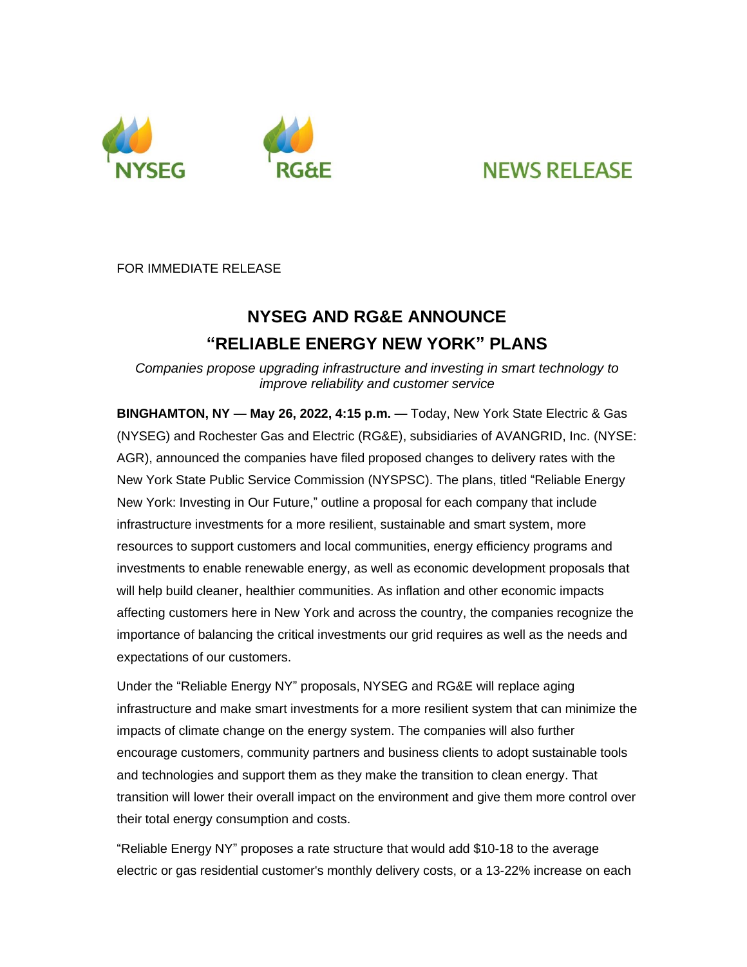



## **NEWS RELEASE**

FOR IMMEDIATE RELEASE

## **NYSEG AND RG&E ANNOUNCE "RELIABLE ENERGY NEW YORK" PLANS**

*Companies propose upgrading infrastructure and investing in smart technology to improve reliability and customer service*

**BINGHAMTON, NY — May 26, 2022, 4:15 p.m. —** Today, New York State Electric & Gas (NYSEG) and Rochester Gas and Electric (RG&E), subsidiaries of AVANGRID, Inc. (NYSE: AGR), announced the companies have filed proposed changes to delivery rates with the New York State Public Service Commission (NYSPSC). The plans, titled "Reliable Energy New York: Investing in Our Future," outline a proposal for each company that include infrastructure investments for a more resilient, sustainable and smart system, more resources to support customers and local communities, energy efficiency programs and investments to enable renewable energy, as well as economic development proposals that will help build cleaner, healthier communities. As inflation and other economic impacts affecting customers here in New York and across the country, the companies recognize the importance of balancing the critical investments our grid requires as well as the needs and expectations of our customers.

Under the "Reliable Energy NY" proposals, NYSEG and RG&E will replace aging infrastructure and make smart investments for a more resilient system that can minimize the impacts of climate change on the energy system. The companies will also further encourage customers, community partners and business clients to adopt sustainable tools and technologies and support them as they make the transition to clean energy. That transition will lower their overall impact on the environment and give them more control over their total energy consumption and costs.

"Reliable Energy NY" proposes a rate structure that would add \$10-18 to the average electric or gas residential customer's monthly delivery costs, or a 13-22% increase on each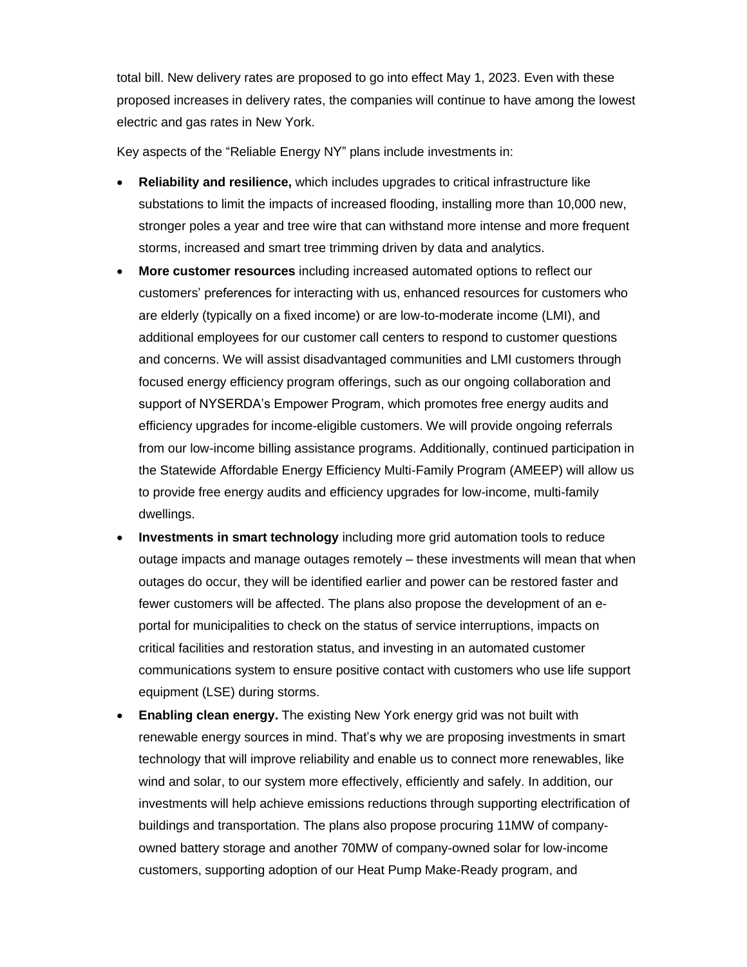total bill. New delivery rates are proposed to go into effect May 1, 2023. Even with these proposed increases in delivery rates, the companies will continue to have among the lowest electric and gas rates in New York.

Key aspects of the "Reliable Energy NY" plans include investments in:

- **Reliability and resilience,** which includes upgrades to critical infrastructure like substations to limit the impacts of increased flooding, installing more than 10,000 new, stronger poles a year and tree wire that can withstand more intense and more frequent storms, increased and smart tree trimming driven by data and analytics.
- **More customer resources** including increased automated options to reflect our customers' preferences for interacting with us, enhanced resources for customers who are elderly (typically on a fixed income) or are low-to-moderate income (LMI), and additional employees for our customer call centers to respond to customer questions and concerns. We will assist disadvantaged communities and LMI customers through focused energy efficiency program offerings, such as our ongoing collaboration and support of NYSERDA's Empower Program, which promotes free energy audits and efficiency upgrades for income-eligible customers. We will provide ongoing referrals from our low-income billing assistance programs. Additionally, continued participation in the Statewide Affordable Energy Efficiency Multi-Family Program (AMEEP) will allow us to provide free energy audits and efficiency upgrades for low-income, multi-family dwellings.
- **Investments in smart technology** including more grid automation tools to reduce outage impacts and manage outages remotely – these investments will mean that when outages do occur, they will be identified earlier and power can be restored faster and fewer customers will be affected. The plans also propose the development of an eportal for municipalities to check on the status of service interruptions, impacts on critical facilities and restoration status, and investing in an automated customer communications system to ensure positive contact with customers who use life support equipment (LSE) during storms.
- **Enabling clean energy.** The existing New York energy grid was not built with renewable energy sources in mind. That's why we are proposing investments in smart technology that will improve reliability and enable us to connect more renewables, like wind and solar, to our system more effectively, efficiently and safely. In addition, our investments will help achieve emissions reductions through supporting electrification of buildings and transportation. The plans also propose procuring 11MW of companyowned battery storage and another 70MW of company-owned solar for low-income customers, supporting adoption of our Heat Pump Make-Ready program, and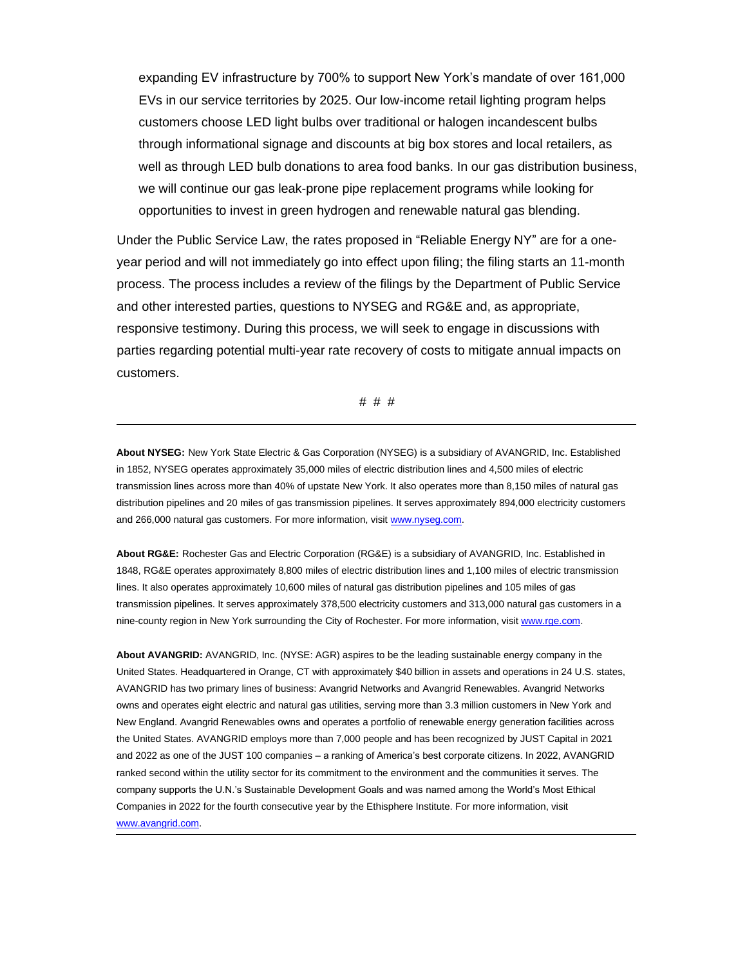expanding EV infrastructure by 700% to support New York's mandate of over 161,000 EVs in our service territories by 2025. Our low-income retail lighting program helps customers choose LED light bulbs over traditional or halogen incandescent bulbs through informational signage and discounts at big box stores and local retailers, as well as through LED bulb donations to area food banks. In our gas distribution business, we will continue our gas leak-prone pipe replacement programs while looking for opportunities to invest in green hydrogen and renewable natural gas blending.

Under the Public Service Law, the rates proposed in "Reliable Energy NY" are for a oneyear period and will not immediately go into effect upon filing; the filing starts an 11-month process. The process includes a review of the filings by the Department of Public Service and other interested parties, questions to NYSEG and RG&E and, as appropriate, responsive testimony. During this process, we will seek to engage in discussions with parties regarding potential multi-year rate recovery of costs to mitigate annual impacts on customers.

# # #

**About NYSEG:** New York State Electric & Gas Corporation (NYSEG) is a subsidiary of AVANGRID, Inc. Established in 1852, NYSEG operates approximately 35,000 miles of electric distribution lines and 4,500 miles of electric transmission lines across more than 40% of upstate New York. It also operates more than 8,150 miles of natural gas distribution pipelines and 20 miles of gas transmission pipelines. It serves approximately 894,000 electricity customers and 266,000 natural gas customers. For more information, visit www.nyseg.com.

**About RG&E:** Rochester Gas and Electric Corporation (RG&E) is a subsidiary of AVANGRID, Inc. Established in 1848, RG&E operates approximately 8,800 miles of electric distribution lines and 1,100 miles of electric transmission lines. It also operates approximately 10,600 miles of natural gas distribution pipelines and 105 miles of gas transmission pipelines. It serves approximately 378,500 electricity customers and 313,000 natural gas customers in a nine-county region in New York surrounding the City of Rochester. For more information, visi[t www.rge.com.](http://www.rge.com/)

**About AVANGRID:** AVANGRID, Inc. (NYSE: AGR) aspires to be the leading sustainable energy company in the United States. Headquartered in Orange, CT with approximately \$40 billion in assets and operations in 24 U.S. states, AVANGRID has two primary lines of business: Avangrid Networks and Avangrid Renewables. Avangrid Networks owns and operates eight electric and natural gas utilities, serving more than 3.3 million customers in New York and New England. Avangrid Renewables owns and operates a portfolio of renewable energy generation facilities across the United States. AVANGRID employs more than 7,000 people and has been recognized by JUST Capital in 2021 and 2022 as one of the JUST 100 companies – a ranking of America's best corporate citizens. In 2022, AVANGRID ranked second within the utility sector for its commitment to the environment and the communities it serves. The company supports the U.N.'s Sustainable Development Goals and was named among the World's Most Ethical Companies in 2022 for the fourth consecutive year by the Ethisphere Institute. For more information, visit [www.avangrid.com.](http://www.avangrid.com/)